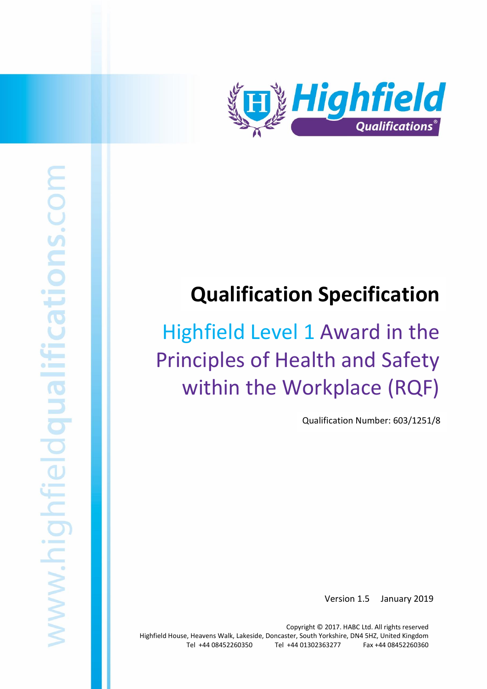

# **Qualification Specification**

# Highfield Level 1 Award in the Principles of Health and Safety within the Workplace (RQF)

Qualification Number: 603/1251/8

Version 1.5 January 2019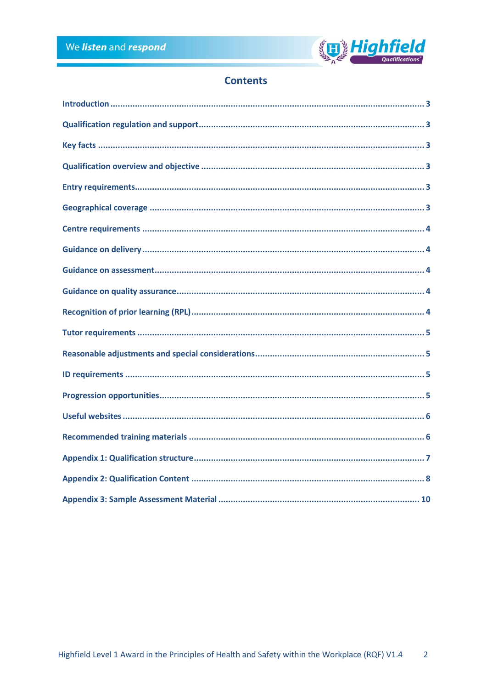

# **Contents**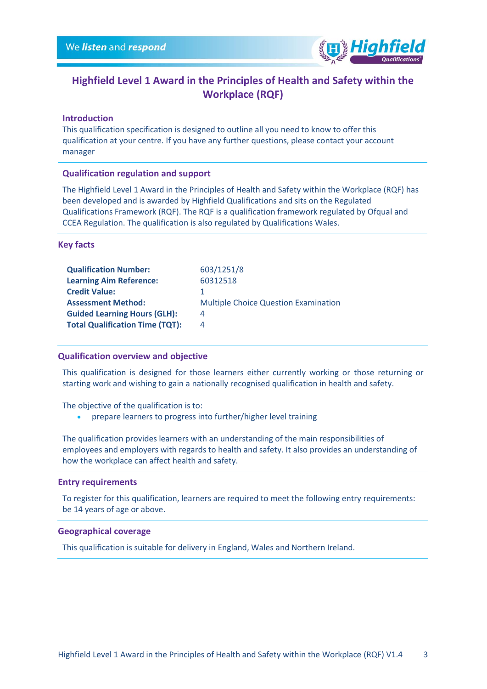

# **Highfield Level 1 Award in the Principles of Health and Safety within the Workplace (RQF)**

## <span id="page-2-0"></span>**Introduction**

This qualification specification is designed to outline all you need to know to offer this qualification at your centre. If you have any further questions, please contact your account manager

#### <span id="page-2-1"></span>**Qualification regulation and support**

The Highfield Level 1 Award in the Principles of Health and Safety within the Workplace (RQF) has been developed and is awarded by Highfield Qualifications and sits on the Regulated Qualifications Framework (RQF). The RQF is a qualification framework regulated by Ofqual and CCEA Regulation. The qualification is also regulated by Qualifications Wales.

#### <span id="page-2-2"></span>**Key facts**

| <b>Qualification Number:</b>           | 603/1251/8                                  |
|----------------------------------------|---------------------------------------------|
| <b>Learning Aim Reference:</b>         | 60312518                                    |
| <b>Credit Value:</b>                   |                                             |
| <b>Assessment Method:</b>              | <b>Multiple Choice Question Examination</b> |
| <b>Guided Learning Hours (GLH):</b>    | 4                                           |
| <b>Total Qualification Time (TQT):</b> | 4                                           |
|                                        |                                             |

# <span id="page-2-3"></span>**Qualification overview and objective**

This qualification is designed for those learners either currently working or those returning or starting work and wishing to gain a nationally recognised qualification in health and safety.

The objective of the qualification is to:

• prepare learners to progress into further/higher level training

The qualification provides learners with an understanding of the main responsibilities of employees and employers with regards to health and safety. It also provides an understanding of how the workplace can affect health and safety.

#### <span id="page-2-4"></span>**Entry requirements**

To register for this qualification, learners are required to meet the following entry requirements: be 14 years of age or above.

#### <span id="page-2-5"></span>**Geographical coverage**

This qualification is suitable for delivery in England, Wales and Northern Ireland.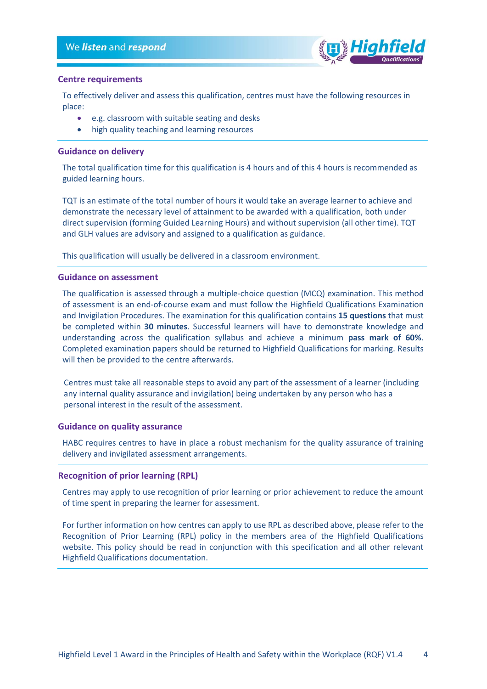

## <span id="page-3-0"></span>**Centre requirements**

To effectively deliver and assess this qualification, centres must have the following resources in place:

- e.g. classroom with suitable seating and desks
- high quality teaching and learning resources

## <span id="page-3-1"></span>**Guidance on delivery**

The total qualification time for this qualification is 4 hours and of this 4 hours is recommended as guided learning hours.

TQT is an estimate of the total number of hours it would take an average learner to achieve and demonstrate the necessary level of attainment to be awarded with a qualification, both under direct supervision (forming Guided Learning Hours) and without supervision (all other time). TQT and GLH values are advisory and assigned to a qualification as guidance.

This qualification will usually be delivered in a classroom environment.

#### <span id="page-3-2"></span>**Guidance on assessment**

The qualification is assessed through a multiple-choice question (MCQ) examination. This method of assessment is an end-of-course exam and must follow the Highfield Qualifications Examination and Invigilation Procedures. The examination for this qualification contains **15 questions** that must be completed within **30 minutes**. Successful learners will have to demonstrate knowledge and understanding across the qualification syllabus and achieve a minimum **pass mark of 60%**. Completed examination papers should be returned to Highfield Qualifications for marking. Results will then be provided to the centre afterwards.

Centres must take all reasonable steps to avoid any part of the assessment of a learner (including any internal quality assurance and invigilation) being undertaken by any person who has a personal interest in the result of the assessment.

#### <span id="page-3-3"></span>**Guidance on quality assurance**

HABC requires centres to have in place a robust mechanism for the quality assurance of training delivery and invigilated assessment arrangements.

# <span id="page-3-4"></span>**Recognition of prior learning (RPL)**

Centres may apply to use recognition of prior learning or prior achievement to reduce the amount of time spent in preparing the learner for assessment.

For further information on how centres can apply to use RPL as described above, please refer to the Recognition of Prior Learning (RPL) policy in the members area of the Highfield Qualifications website. This policy should be read in conjunction with this specification and all other relevant Highfield Qualifications documentation.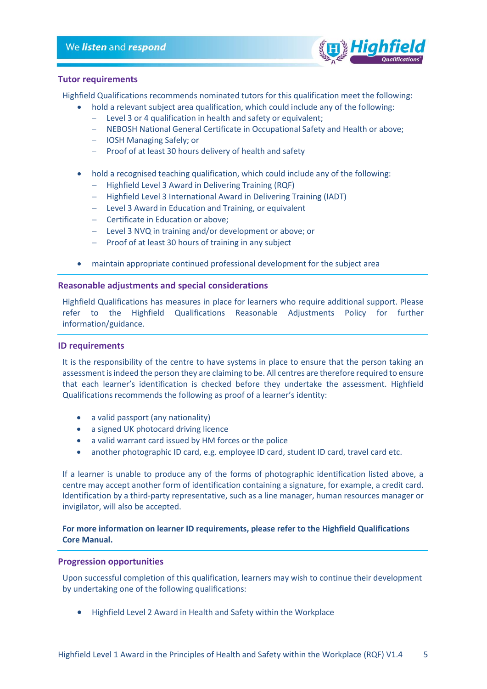# We listen and respond



### <span id="page-4-0"></span>**Tutor requirements**

Highfield Qualifications recommends nominated tutors for this qualification meet the following:

- hold a relevant subject area qualification, which could include any of the following:
	- − Level 3 or 4 qualification in health and safety or equivalent;
	- − NEBOSH National General Certificate in Occupational Safety and Health or above;
	- − IOSH Managing Safely; or
	- − Proof of at least 30 hours delivery of health and safety
- hold a recognised teaching qualification, which could include any of the following:
	- − Highfield Level 3 Award in Delivering Training (RQF)
	- − Highfield Level 3 International Award in Delivering Training (IADT)
	- − Level 3 Award in Education and Training, or equivalent
	- − Certificate in Education or above;
	- − Level 3 NVQ in training and/or development or above; or
	- − Proof of at least 30 hours of training in any subject
- maintain appropriate continued professional development for the subject area

# <span id="page-4-1"></span>**Reasonable adjustments and special considerations**

Highfield Qualifications has measures in place for learners who require additional support. Please refer to the Highfield Qualifications Reasonable Adjustments Policy for further information/guidance.

## <span id="page-4-2"></span>**ID requirements**

It is the responsibility of the centre to have systems in place to ensure that the person taking an assessment is indeed the person they are claiming to be. All centres are therefore required to ensure that each learner's identification is checked before they undertake the assessment. Highfield Qualifications recommends the following as proof of a learner's identity:

- a valid passport (any nationality)
- a signed UK photocard driving licence
- a valid warrant card issued by HM forces or the police
- another photographic ID card, e.g. employee ID card, student ID card, travel card etc.

If a learner is unable to produce any of the forms of photographic identification listed above, a centre may accept another form of identification containing a signature, for example, a credit card. Identification by a third-party representative, such as a line manager, human resources manager or invigilator, will also be accepted.

# **For more information on learner ID requirements, please refer to the Highfield Qualifications Core Manual.**

# <span id="page-4-3"></span>**Progression opportunities**

Upon successful completion of this qualification, learners may wish to continue their development by undertaking one of the following qualifications:

• Highfield Level 2 Award in Health and Safety within the Workplace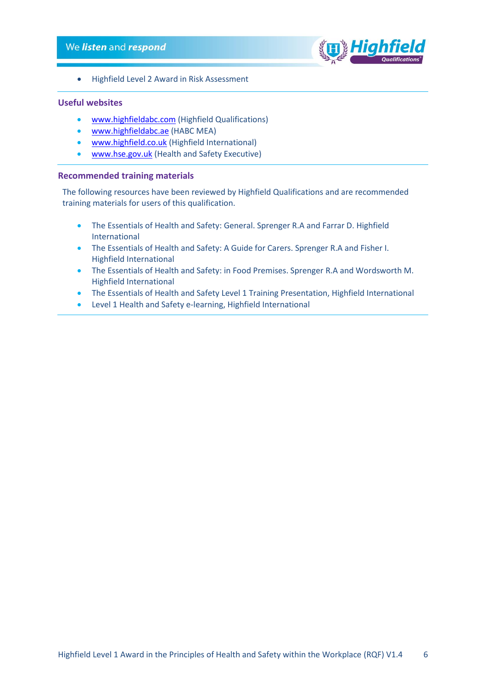# We listen and respond



• Highfield Level 2 Award in Risk Assessment

# <span id="page-5-0"></span>**Useful websites**

- [www.highfieldabc.com](http://www.highfieldabc.com/) (Highfield Qualifications)
- [www.highfieldabc.ae](http://www.highfieldabc.ae/) (HABC MEA)
- [www.highfield.co.uk](http://www.highfield.co.uk/) (Highfield International)
- [www.hse.gov.uk](http://www.hse.gov.uk/) (Health and Safety Executive)

# <span id="page-5-1"></span>**Recommended training materials**

The following resources have been reviewed by Highfield Qualifications and are recommended training materials for users of this qualification.

- The Essentials of Health and Safety: General. Sprenger R.A and Farrar D. Highfield International
- The Essentials of Health and Safety: A Guide for Carers. Sprenger R.A and Fisher I. Highfield International
- The Essentials of Health and Safety: in Food Premises. Sprenger R.A and Wordsworth M. Highfield International
- The Essentials of Health and Safety Level 1 Training Presentation, Highfield International
- Level 1 Health and Safety e-learning, Highfield International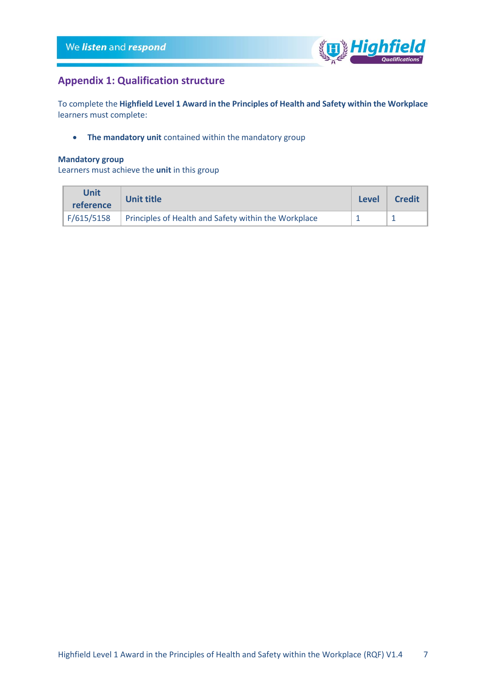

# <span id="page-6-0"></span>**Appendix 1: Qualification structure**

To complete the **Highfield Level 1 Award in the Principles of Health and Safety within the Workplace** learners must complete:

• **The mandatory unit** contained within the mandatory group

## **Mandatory group**

Learners must achieve the **unit** in this group

| Unit<br>reference                                                  | <b>Unit title</b> |  | <b>Credit</b> |
|--------------------------------------------------------------------|-------------------|--|---------------|
| F/615/5158<br>Principles of Health and Safety within the Workplace |                   |  |               |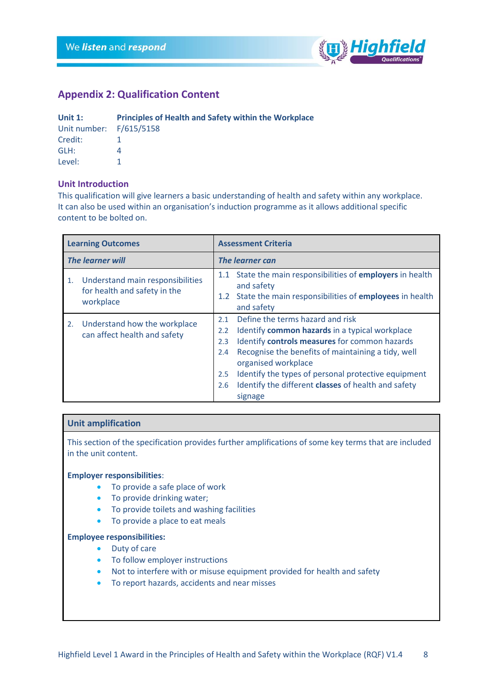

# <span id="page-7-0"></span>**Appendix 2: Qualification Content**

| Unit $1$ :              | <b>Principles of Health and Safety within the Workplace</b> |
|-------------------------|-------------------------------------------------------------|
| Unit number: F/615/5158 |                                                             |
| Credit:                 |                                                             |
| GLH:                    |                                                             |
| Level:                  |                                                             |

# **Unit Introduction**

This qualification will give learners a basic understanding of health and safety within any workplace. It can also be used within an organisation's induction programme as it allows additional specific content to be bolted on.

|                         | <b>Learning Outcomes</b>                                                      | <b>Assessment Criteria</b>             |                                                                                                                                                                                                                                                                                                                                           |  |
|-------------------------|-------------------------------------------------------------------------------|----------------------------------------|-------------------------------------------------------------------------------------------------------------------------------------------------------------------------------------------------------------------------------------------------------------------------------------------------------------------------------------------|--|
| <b>The learner will</b> |                                                                               | <b>The learner can</b>                 |                                                                                                                                                                                                                                                                                                                                           |  |
| 1.                      | Understand main responsibilities<br>for health and safety in the<br>workplace | 1.1<br>1.2                             | State the main responsibilities of employers in health<br>and safety<br>State the main responsibilities of employees in health<br>and safety                                                                                                                                                                                              |  |
| 2.                      | Understand how the workplace<br>can affect health and safety                  | 2.1<br>2.2<br>2.3<br>2.4<br>2.5<br>2.6 | Define the terms hazard and risk<br>Identify common hazards in a typical workplace<br>Identify controls measures for common hazards<br>Recognise the benefits of maintaining a tidy, well<br>organised workplace<br>Identify the types of personal protective equipment<br>Identify the different classes of health and safety<br>signage |  |

# **Unit amplification**

This section of the specification provides further amplifications of some key terms that are included in the unit content.

#### **Employer responsibilities**:

- To provide a safe place of work
- To provide drinking water;
- To provide toilets and washing facilities
- To provide a place to eat meals

## **Employee responsibilities:**

- Duty of care
- To follow employer instructions
- Not to interfere with or misuse equipment provided for health and safety
- To report hazards, accidents and near misses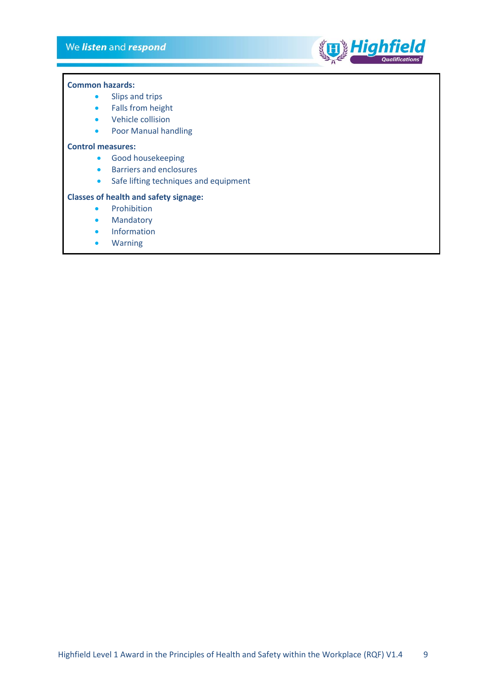# We listen and respond



#### **Common hazards:**

- Slips and trips
- Falls from height
- Vehicle collision
- Poor Manual handling

#### **Control measures:**

- Good housekeeping
- Barriers and enclosures
- Safe lifting techniques and equipment

## **Classes of health and safety signage:**

- Prohibition
- Mandatory
- Information
- Warning